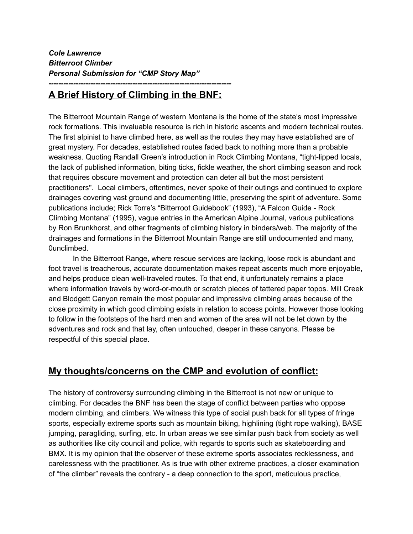*--------------------------------------------------------------------------*

## **A Brief History of Climbing in the BNF:**

The Bitterroot Mountain Range of western Montana is the home of the state's most impressive rock formations. This invaluable resource is rich in historic ascents and modern technical routes. The first alpinist to have climbed here, as well as the routes they may have established are of great mystery. For decades, established routes faded back to nothing more than a probable weakness. Quoting Randall Green's introduction in Rock Climbing Montana, "tight-lipped locals, the lack of published information, biting ticks, fickle weather, the short climbing season and rock that requires obscure movement and protection can deter all but the most persistent practitioners''. Local climbers, oftentimes, never spoke of their outings and continued to explore drainages covering vast ground and documenting little, preserving the spirit of adventure. Some publications include; Rick Torre's "Bitterroot Guidebook" (1993), "A Falcon Guide - Rock Climbing Montana" (1995), vague entries in the American Alpine Journal, various publications by Ron Brunkhorst, and other fragments of climbing history in binders/web. The majority of the drainages and formations in the Bitterroot Mountain Range are still undocumented and many, 0unclimbed.

In the Bitterroot Range, where rescue services are lacking, loose rock is abundant and foot travel is treacherous, accurate documentation makes repeat ascents much more enjoyable, and helps produce clean well-traveled routes. To that end, it unfortunately remains a place where information travels by word-or-mouth or scratch pieces of tattered paper topos. Mill Creek and Blodgett Canyon remain the most popular and impressive climbing areas because of the close proximity in which good climbing exists in relation to access points. However those looking to follow in the footsteps of the hard men and women of the area will not be let down by the adventures and rock and that lay, often untouched, deeper in these canyons. Please be respectful of this special place.

## **My thoughts/concerns on the CMP and evolution of conflict:**

The history of controversy surrounding climbing in the Bitterroot is not new or unique to climbing. For decades the BNF has been the stage of conflict between parties who oppose modern climbing, and climbers. We witness this type of social push back for all types of fringe sports, especially extreme sports such as mountain biking, highlining (tight rope walking), BASE jumping, paragliding, surfing, etc. In urban areas we see similar push back from society as well as authorities like city council and police, with regards to sports such as skateboarding and BMX. It is my opinion that the observer of these extreme sports associates recklessness, and carelessness with the practitioner. As is true with other extreme practices, a closer examination of "the climber" reveals the contrary - a deep connection to the sport, meticulous practice,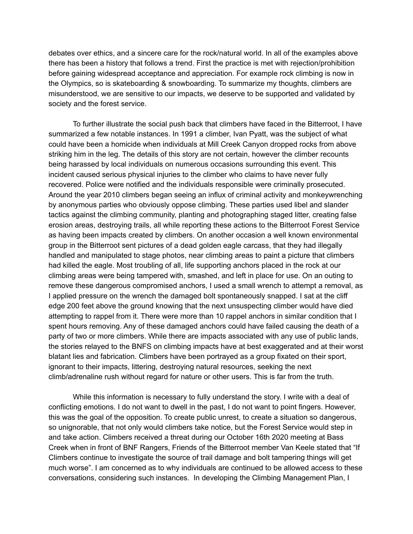debates over ethics, and a sincere care for the rock/natural world. In all of the examples above there has been a history that follows a trend. First the practice is met with rejection/prohibition before gaining widespread acceptance and appreciation. For example rock climbing is now in the Olympics, so is skateboarding & snowboarding. To summarize my thoughts, climbers are misunderstood, we are sensitive to our impacts, we deserve to be supported and validated by society and the forest service.

To further illustrate the social push back that climbers have faced in the Bitterroot, I have summarized a few notable instances. In 1991 a climber, Ivan Pyatt, was the subject of what could have been a homicide when individuals at Mill Creek Canyon dropped rocks from above striking him in the leg. The details of this story are not certain, however the climber recounts being harassed by local individuals on numerous occasions surrounding this event. This incident caused serious physical injuries to the climber who claims to have never fully recovered. Police were notified and the individuals responsible were criminally prosecuted. Around the year 2010 climbers began seeing an influx of criminal activity and monkeywrenching by anonymous parties who obviously oppose climbing. These parties used libel and slander tactics against the climbing community, planting and photographing staged litter, creating false erosion areas, destroying trails, all while reporting these actions to the Bitterroot Forest Service as having been impacts created by climbers. On another occasion a well known environmental group in the Bitterroot sent pictures of a dead golden eagle carcass, that they had illegally handled and manipulated to stage photos, near climbing areas to paint a picture that climbers had killed the eagle. Most troubling of all, life supporting anchors placed in the rock at our climbing areas were being tampered with, smashed, and left in place for use. On an outing to remove these dangerous compromised anchors, I used a small wrench to attempt a removal, as I applied pressure on the wrench the damaged bolt spontaneously snapped. I sat at the cliff edge 200 feet above the ground knowing that the next unsuspecting climber would have died attempting to rappel from it. There were more than 10 rappel anchors in similar condition that I spent hours removing. Any of these damaged anchors could have failed causing the death of a party of two or more climbers. While there are impacts associated with any use of public lands, the stories relayed to the BNFS on climbing impacts have at best exaggerated and at their worst blatant lies and fabrication. Climbers have been portrayed as a group fixated on their sport, ignorant to their impacts, littering, destroying natural resources, seeking the next climb/adrenaline rush without regard for nature or other users. This is far from the truth.

While this information is necessary to fully understand the story. I write with a deal of conflicting emotions. I do not want to dwell in the past, I do not want to point fingers. However, this was the goal of the opposition. To create public unrest, to create a situation so dangerous, so unignorable, that not only would climbers take notice, but the Forest Service would step in and take action. Climbers received a threat during our October 16th 2020 meeting at Bass Creek when in front of BNF Rangers, Friends of the Bitterroot member Van Keele stated that "If Climbers continue to investigate the source of trail damage and bolt tampering things will get much worse". I am concerned as to why individuals are continued to be allowed access to these conversations, considering such instances. In developing the Climbing Management Plan, I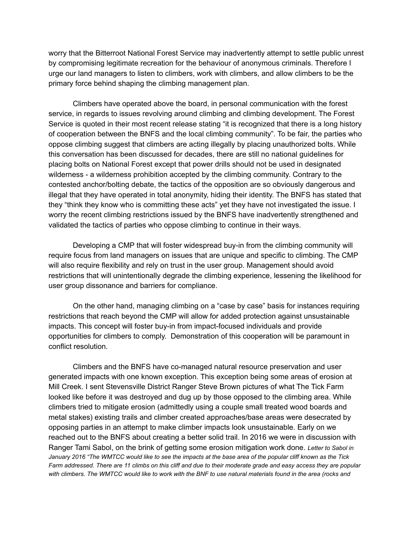worry that the Bitterroot National Forest Service may inadvertently attempt to settle public unrest by compromising legitimate recreation for the behaviour of anonymous criminals. Therefore I urge our land managers to listen to climbers, work with climbers, and allow climbers to be the primary force behind shaping the climbing management plan.

Climbers have operated above the board, in personal communication with the forest service, in regards to issues revolving around climbing and climbing development. The Forest Service is quoted in their most recent release stating "it is recognized that there is a long history of cooperation between the BNFS and the local climbing community". To be fair, the parties who oppose climbing suggest that climbers are acting illegally by placing unauthorized bolts. While this conversation has been discussed for decades, there are still no national guidelines for placing bolts on National Forest except that power drills should not be used in designated wilderness - a wilderness prohibition accepted by the climbing community. Contrary to the contested anchor/bolting debate, the tactics of the opposition are so obviously dangerous and illegal that they have operated in total anonymity, hiding their identity. The BNFS has stated that they "think they know who is committing these acts" yet they have not investigated the issue. I worry the recent climbing restrictions issued by the BNFS have inadvertently strengthened and validated the tactics of parties who oppose climbing to continue in their ways.

Developing a CMP that will foster widespread buy-in from the climbing community will require focus from land managers on issues that are unique and specific to climbing. The CMP will also require flexibility and rely on trust in the user group. Management should avoid restrictions that will unintentionally degrade the climbing experience, lessening the likelihood for user group dissonance and barriers for compliance.

On the other hand, managing climbing on a "case by case" basis for instances requiring restrictions that reach beyond the CMP will allow for added protection against unsustainable impacts. This concept will foster buy-in from impact-focused individuals and provide opportunities for climbers to comply. Demonstration of this cooperation will be paramount in conflict resolution.

Climbers and the BNFS have co-managed natural resource preservation and user generated impacts with one known exception. This exception being some areas of erosion at Mill Creek. I sent Stevensville District Ranger Steve Brown pictures of what The Tick Farm looked like before it was destroyed and dug up by those opposed to the climbing area. While climbers tried to mitigate erosion (admittedly using a couple small treated wood boards and metal stakes) existing trails and climber created approaches/base areas were desecrated by opposing parties in an attempt to make climber impacts look unsustainable. Early on we reached out to the BNFS about creating a better solid trail. In 2016 we were in discussion with Ranger Tami Sabol, on the brink of getting some erosion mitigation work done. *Letter to Sabol in January 2016 "The WMTCC would like to see the impacts at the base area of the popular cliff known as the Tick Farm addressed. There are 11 climbs on this cliff and due to their moderate grade and easy access they are popular with climbers. The WMTCC would like to work with the BNF to use natural materials found in the area (rocks and*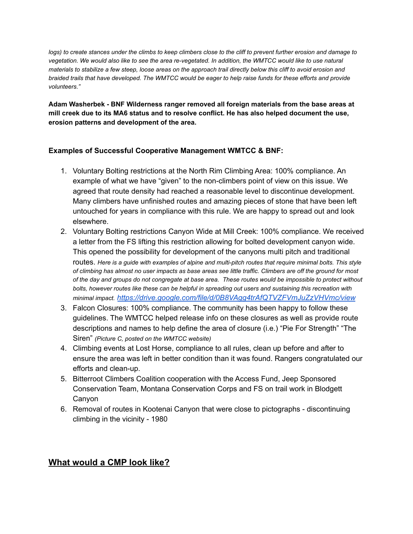*logs) to create stances under the climbs to keep climbers close to the cliff to prevent further erosion and damage to vegetation. We would also like to see the area re-vegetated. In addition, the WMTCC would like to use natural materials to stabilize a few steep, loose areas on the approach trail directly below this cliff to avoid erosion and braided trails that have developed. The WMTCC would be eager to help raise funds for these efforts and provide volunteers."*

**Adam Washerbek - BNF Wilderness ranger removed all foreign materials from the base areas at mill creek due to its MA6 status and to resolve conflict. He has also helped document the use, erosion patterns and development of the area.**

#### **Examples of Successful Cooperative Management WMTCC & BNF:**

- 1. Voluntary Bolting restrictions at the North Rim Climbing Area: 100% compliance. An example of what we have "given" to the non-climbers point of view on this issue. We agreed that route density had reached a reasonable level to discontinue development. Many climbers have unfinished routes and amazing pieces of stone that have been left untouched for years in compliance with this rule. We are happy to spread out and look elsewhere.
- 2. Voluntary Bolting restrictions Canyon Wide at Mill Creek: 100% compliance. We received a letter from the FS lifting this restriction allowing for bolted development canyon wide. This opened the possibility for development of the canyons multi pitch and traditional routes. *Here is a guide with examples of alpine and multi-pitch routes that require minimal bolts. This style of climbing has almost no user impacts as base areas see little traffic. Climbers are off the ground for most of the day and groups do not congregate at base area. These routes would be impossible to protect without bolts, however routes like these can be helpful in spreading out users and sustaining this recreation with minimal impact. https://drive.google.com/file/d/0B8VAgg4trAfQTVZFVmJuZzVHVmc/view*
- 3. Falcon Closures: 100% compliance. The community has been happy to follow these guidelines. The WMTCC helped release info on these closures as well as provide route descriptions and names to help define the area of closure (i.e.) "Pie For Strength" "The Siren" *(Picture C, posted on the WMTCC website)*
- 4. Climbing events at Lost Horse, compliance to all rules, clean up before and after to ensure the area was left in better condition than it was found. Rangers congratulated our efforts and clean-up.
- 5. Bitterroot Climbers Coalition cooperation with the Access Fund, Jeep Sponsored Conservation Team, Montana Conservation Corps and FS on trail work in Blodgett Canyon
- 6. Removal of routes in Kootenai Canyon that were close to pictographs discontinuing climbing in the vicinity - 1980

### **What would a CMP look like?**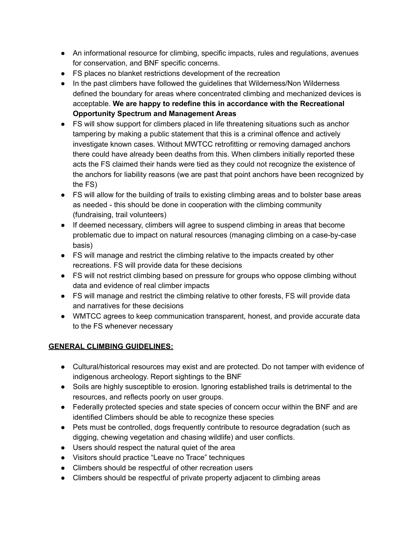- An informational resource for climbing, specific impacts, rules and regulations, avenues for conservation, and BNF specific concerns.
- FS places no blanket restrictions development of the recreation
- In the past climbers have followed the guidelines that Wilderness/Non Wilderness defined the boundary for areas where concentrated climbing and mechanized devices is acceptable. **We are happy to redefine this in accordance with the Recreational Opportunity Spectrum and Management Areas**
- FS will show support for climbers placed in life threatening situations such as anchor tampering by making a public statement that this is a criminal offence and actively investigate known cases. Without MWTCC retrofitting or removing damaged anchors there could have already been deaths from this. When climbers initially reported these acts the FS claimed their hands were tied as they could not recognize the existence of the anchors for liability reasons (we are past that point anchors have been recognized by the FS)
- FS will allow for the building of trails to existing climbing areas and to bolster base areas as needed - this should be done in cooperation with the climbing community (fundraising, trail volunteers)
- If deemed necessary, climbers will agree to suspend climbing in areas that become problematic due to impact on natural resources (managing climbing on a case-by-case basis)
- FS will manage and restrict the climbing relative to the impacts created by other recreations. FS will provide data for these decisions
- FS will not restrict climbing based on pressure for groups who oppose climbing without data and evidence of real climber impacts
- FS will manage and restrict the climbing relative to other forests, FS will provide data and narratives for these decisions
- WMTCC agrees to keep communication transparent, honest, and provide accurate data to the FS whenever necessary

### **GENERAL CLIMBING GUIDELINES:**

- Cultural/historical resources may exist and are protected. Do not tamper with evidence of indigenous archeology. Report sightings to the BNF
- Soils are highly susceptible to erosion. Ignoring established trails is detrimental to the resources, and reflects poorly on user groups.
- Federally protected species and state species of concern occur within the BNF and are identified Climbers should be able to recognize these species
- Pets must be controlled, dogs frequently contribute to resource degradation (such as digging, chewing vegetation and chasing wildlife) and user conflicts.
- Users should respect the natural quiet of the area
- Visitors should practice "Leave no Trace" techniques
- Climbers should be respectful of other recreation users
- Climbers should be respectful of private property adjacent to climbing areas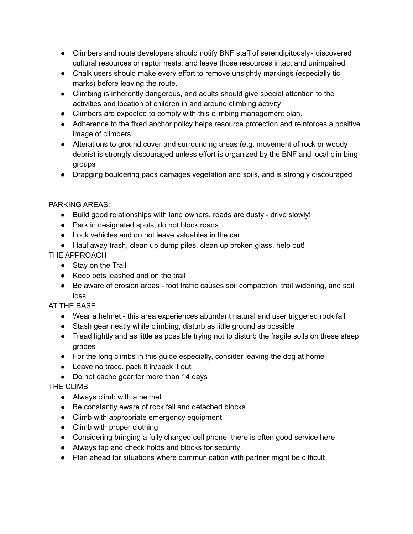- Climbers and route developers should notify BNF staff of serendipitously- discovered cultural resources or raptor nests, and leave those resources intact and unimpaired
- Chalk users should make every effort to remove unsightly markings (especially tic marks) before leaving the route.
- Climbing is inherently dangerous, and adults should give special attention to the activities and location of children in and around climbing activity
- Climbers are expected to comply with this climbing management plan.
- Adherence to the fixed anchor policy helps resource protection and reinforces a positive image of climbers.
- Alterations to ground cover and surrounding areas (e.g. movement of rock or woody debris) is strongly discouraged unless effort is organized by the BNF and local climbing groups
- Dragging bouldering pads damages vegetation and soils, and is strongly discouraged

#### PARKING AREAS:

- Build good relationships with land owners, roads are dusty drive slowly!
- Park in designated spots, do not block roads
- Lock vehicles and do not leave valuables in the car
- Haul away trash, clean up dump piles, clean up broken glass, help out!

### THE APPROACH

- Stay on the Trail
- Keep pets leashed and on the trail
- Be aware of erosion areas foot traffic causes soil compaction, trail widening, and soil loss

### AT THE BASE

- Wear a helmet this area experiences abundant natural and user triggered rock fall
- Stash gear neatly while climbing, disturb as little ground as possible
- Tread lightly and as little as possible trying not to disturb the fragile soils on these steep grades
- $\bullet$  For the long climbs in this guide especially, consider leaving the dog at home
- Leave no trace, pack it in/pack it out
- Do not cache gear for more than 14 days

### THE CLIMB

- Always climb with a helmet
- Be constantly aware of rock fall and detached blocks
- Climb with appropriate emergency equipment
- Climb with proper clothing
- Considering bringing a fully charged cell phone, there is often good service here
- Always tap and check holds and blocks for security
- Plan ahead for situations where communication with partner might be difficult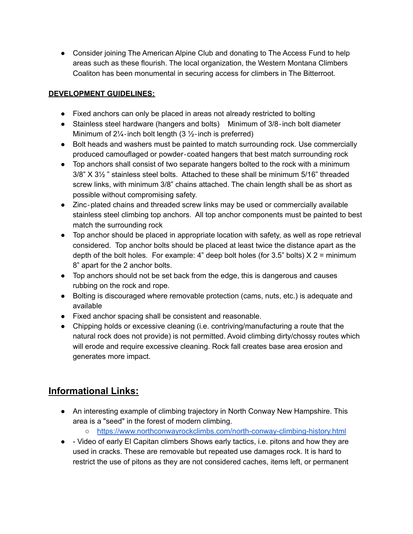● Consider joining The American Alpine Club and donating to The Access Fund to help areas such as these flourish. The local organization, the Western Montana Climbers Coaliton has been monumental in securing access for climbers in The Bitterroot.

#### **DEVELOPMENT GUIDELINES:**

- Fixed anchors can only be placed in areas not already restricted to bolting
- Stainless steel hardware (hangers and bolts) Minimum of 3/8-inch bolt diameter Minimum of  $2\frac{1}{4}$ -inch bolt length (3  $\frac{1}{2}$ -inch is preferred)
- Bolt heads and washers must be painted to match surrounding rock. Use commercially produced camouflaged or powder‐coated hangers that best match surrounding rock
- Top anchors shall consist of two separate hangers bolted to the rock with a minimum 3/8" X 3½ " stainless steel bolts. Attached to these shall be minimum 5/16" threaded screw links, with minimum 3/8" chains attached. The chain length shall be as short as possible without compromising safety.
- Zinc-plated chains and threaded screw links may be used or commercially available stainless steel climbing top anchors. All top anchor components must be painted to best match the surrounding rock
- Top anchor should be placed in appropriate location with safety, as well as rope retrieval considered. Top anchor bolts should be placed at least twice the distance apart as the depth of the bolt holes. For example: 4" deep bolt holes (for 3.5" bolts)  $X$  2 = minimum 8" apart for the 2 anchor bolts.
- Top anchors should not be set back from the edge, this is dangerous and causes rubbing on the rock and rope.
- Bolting is discouraged where removable protection (cams, nuts, etc.) is adequate and available
- Fixed anchor spacing shall be consistent and reasonable.
- Chipping holds or excessive cleaning (i.e. contriving/manufacturing a route that the natural rock does not provide) is not permitted. Avoid climbing dirty/chossy routes which will erode and require excessive cleaning. Rock fall creates base area erosion and generates more impact.

# **Informational Links:**

- An interesting example of climbing trajectory in North Conway New Hampshire. This area is a "seed" in the forest of modern climbing.
	- https://www.northconwayrockclimbs.com/north-conway-climbing-history.html
- - Video of early El Capitan climbers Shows early tactics, i.e. pitons and how they are used in cracks. These are removable but repeated use damages rock. It is hard to restrict the use of pitons as they are not considered caches, items left, or permanent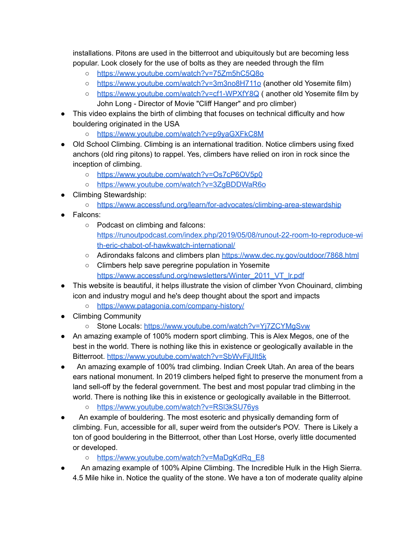installations. Pitons are used in the bitterroot and ubiquitously but are becoming less popular. Look closely for the use of bolts as they are needed through the film

- https://www.youtube.com/watch?v=75Zm5hC5Q8o
- https://www.youtube.com/watch?v=3m3no8H711o (another old Yosemite film)
- https://www.youtube.com/watch?v=cf1-WPXfY8Q ( another old Yosemite film by John Long - Director of Movie "Cliff Hanger" and pro climber)
- This video explains the birth of climbing that focuses on technical difficulty and how bouldering originated in the USA
	- https://www.youtube.com/watch?v=p9yaGXFkC8M
- Old School Climbing. Climbing is an international tradition. Notice climbers using fixed anchors (old ring pitons) to rappel. Yes, climbers have relied on iron in rock since the inception of climbing.
	- o https://www.youtube.com/watch?v=Os7cP6OV5p0
	- https://www.youtube.com/watch?v=3ZgBDDWaR6o
- Climbing Stewardship:
	- https://www.accessfund.org/learn/for-advocates/climbing-area-stewardship
- Falcons:
	- Podcast on climbing and falcons: https://runoutpodcast.com/index.php/2019/05/08/runout-22-room-to-reproduce-wi th-eric-chabot-of-hawkwatch-international/
	- Adirondaks falcons and climbers plan https://www.dec.ny.gov/outdoor/7868.html
	- Climbers help save peregrine population in Yosemite https://www.accessfund.org/newsletters/Winter\_2011\_VT\_lr.pdf
- This website is beautiful, it helps illustrate the vision of climber Yvon Chouinard, climbing icon and industry mogul and he's deep thought about the sport and impacts
	- https://www.patagonia.com/company-history/
- Climbing Community
	- Stone Locals: https://www.youtube.com/watch?v=Yj7ZCYMqSvw
- An amazing example of 100% modern sport climbing. This is Alex Megos, one of the best in the world. There is nothing like this in existence or geologically available in the Bitterroot. https://www.youtube.com/watch?v=SbWvFjUIt5k
- An amazing example of 100% trad climbing. Indian Creek Utah. An area of the bears ears national monument. In 2019 climbers helped fight to preserve the monument from a land sell-off by the federal government. The best and most popular trad climbing in the world. There is nothing like this in existence or geologically available in the Bitterroot.
	- https://www.youtube.com/watch?v=RSl3kSU76ys
- An example of bouldering. The most esoteric and physically demanding form of climbing. Fun, accessible for all, super weird from the outsider's POV. There is Likely a ton of good bouldering in the Bitterroot, other than Lost Horse, overly little documented or developed.
	- https://www.youtube.com/watch?v=MaDgKdRq\_E8
- An amazing example of 100% Alpine Climbing. The Incredible Hulk in the High Sierra. 4.5 Mile hike in. Notice the quality of the stone. We have a ton of moderate quality alpine